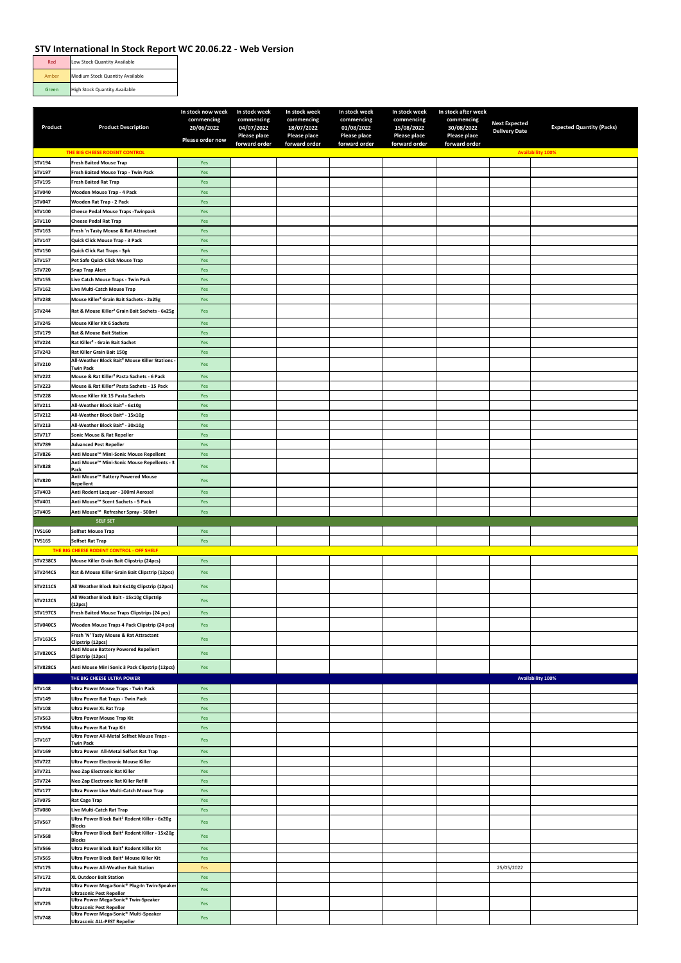| Red   | Low Stock Quantity Available         |
|-------|--------------------------------------|
| Amber | Medium Stock Quantity Available      |
| Green | <b>High Stock Quantity Available</b> |

|                                |                                                                               | In stock now week        | In stock week            | In stock week            | In stock week            | In stock week            | In stock after week      |                      |                                  |
|--------------------------------|-------------------------------------------------------------------------------|--------------------------|--------------------------|--------------------------|--------------------------|--------------------------|--------------------------|----------------------|----------------------------------|
| Product                        | <b>Product Description</b>                                                    | commencing<br>20/06/2022 | commencing<br>04/07/2022 | commencing<br>18/07/2022 | commencing<br>01/08/2022 | commencing<br>15/08/2022 | commencing<br>30/08/2022 | <b>Next Expected</b> | <b>Expected Quantity (Packs)</b> |
|                                |                                                                               |                          | Please place             | <b>Please place</b>      | Please place             | Please place             | Please place             | <b>Delivery Date</b> |                                  |
|                                |                                                                               | Please order now         | forward order            | forward order            | forward order            | forward order            | forward order            |                      |                                  |
|                                | THE BIG CHEESE RODENT CONTROL                                                 |                          |                          |                          |                          |                          |                          |                      | <b>Availability 100%</b>         |
| STV194                         | <b>Fresh Baited Mouse Trap</b>                                                | Yes                      |                          |                          |                          |                          |                          |                      |                                  |
| STV197                         | Fresh Baited Mouse Trap - Twin Pack                                           | Yes                      |                          |                          |                          |                          |                          |                      |                                  |
| STV195                         | <b>Fresh Baited Rat Trap</b>                                                  | Yes                      |                          |                          |                          |                          |                          |                      |                                  |
| <b>STV040</b>                  | Wooden Mouse Trap - 4 Pack                                                    | Yes                      |                          |                          |                          |                          |                          |                      |                                  |
| <b>STV047</b>                  | Wooden Rat Trap - 2 Pack                                                      | Yes                      |                          |                          |                          |                          |                          |                      |                                  |
| STV100                         | <b>Cheese Pedal Mouse Traps - Twinpack</b>                                    | Yes                      |                          |                          |                          |                          |                          |                      |                                  |
| STV110                         | <b>Cheese Pedal Rat Trap</b>                                                  | Yes                      |                          |                          |                          |                          |                          |                      |                                  |
| STV163                         | Fresh 'n Tasty Mouse & Rat Attractant                                         | Yes                      |                          |                          |                          |                          |                          |                      |                                  |
| STV147                         | Quick Click Mouse Trap - 3 Pack                                               | Yes                      |                          |                          |                          |                          |                          |                      |                                  |
| STV150                         | Quick Click Rat Traps - 3pk                                                   | Yes                      |                          |                          |                          |                          |                          |                      |                                  |
| STV157                         | Pet Safe Quick Click Mouse Trap                                               | Yes                      |                          |                          |                          |                          |                          |                      |                                  |
| STV720                         | <b>Snap Trap Alert</b>                                                        | Yes                      |                          |                          |                          |                          |                          |                      |                                  |
| STV155                         | Live Catch Mouse Traps - Twin Pack                                            | Yes                      |                          |                          |                          |                          |                          |                      |                                  |
| STV162                         | Live Multi-Catch Mouse Trap                                                   | Yes                      |                          |                          |                          |                          |                          |                      |                                  |
| <b>STV238</b>                  | Mouse Killer <sup>2</sup> Grain Bait Sachets - 2x25g                          | Yes                      |                          |                          |                          |                          |                          |                      |                                  |
| <b>STV244</b>                  | Rat & Mouse Killer <sup>2</sup> Grain Bait Sachets - 6x25g                    | Yes                      |                          |                          |                          |                          |                          |                      |                                  |
| <b>STV245</b>                  | Mouse Killer Kit 6 Sachets                                                    | Yes                      |                          |                          |                          |                          |                          |                      |                                  |
| STV179                         | <b>Rat &amp; Mouse Bait Station</b>                                           | Yes                      |                          |                          |                          |                          |                          |                      |                                  |
| <b>STV224</b>                  | Rat Killer <sup>2</sup> - Grain Bait Sachet                                   | Yes                      |                          |                          |                          |                          |                          |                      |                                  |
| <b>STV243</b>                  | Rat Killer Grain Bait 150g                                                    | Yes                      |                          |                          |                          |                          |                          |                      |                                  |
| STV210                         | All-Weather Block Bait <sup>2</sup> Mouse Killer Stations<br><b>Twin Pack</b> | Yes                      |                          |                          |                          |                          |                          |                      |                                  |
| <b>STV222</b>                  | Mouse & Rat Killer <sup>2</sup> Pasta Sachets - 6 Pack                        | Yes                      |                          |                          |                          |                          |                          |                      |                                  |
| <b>STV223</b>                  | Mouse & Rat Killer <sup>2</sup> Pasta Sachets - 15 Pack                       | Yes                      |                          |                          |                          |                          |                          |                      |                                  |
| <b>STV228</b>                  | Mouse Killer Kit 15 Pasta Sachets                                             | Yes                      |                          |                          |                          |                          |                          |                      |                                  |
| STV211                         | All-Weather Block Bait <sup>2</sup> - 6x10g                                   | Yes                      |                          |                          |                          |                          |                          |                      |                                  |
| STV212                         | All-Weather Block Bait <sup>2</sup> - 15x10g                                  | Yes                      |                          |                          |                          |                          |                          |                      |                                  |
| STV213                         | All-Weather Block Bait <sup>2</sup> - 30x10g                                  | Yes                      |                          |                          |                          |                          |                          |                      |                                  |
| STV717                         | Sonic Mouse & Rat Repeller                                                    | Yes                      |                          |                          |                          |                          |                          |                      |                                  |
| STV789                         | <b>Advanced Pest Repeller</b>                                                 | Yes                      |                          |                          |                          |                          |                          |                      |                                  |
| <b>STV826</b>                  | Anti Mouse™ Mini-Sonic Mouse Repellent                                        | Yes                      |                          |                          |                          |                          |                          |                      |                                  |
| <b>STV828</b>                  | Anti Mouse™ Mini-Sonic Mouse Repellents - 3                                   | Yes                      |                          |                          |                          |                          |                          |                      |                                  |
|                                | Pack<br>Anti Mouse™ Battery Powered Mouse                                     |                          |                          |                          |                          |                          |                          |                      |                                  |
| <b>STV820</b>                  | Repellent                                                                     | Yes                      |                          |                          |                          |                          |                          |                      |                                  |
| STV403                         | Anti Rodent Lacquer - 300ml Aerosol                                           | Yes                      |                          |                          |                          |                          |                          |                      |                                  |
| STV401                         | Anti Mouse™ Scent Sachets - 5 Pack                                            | Yes                      |                          |                          |                          |                          |                          |                      |                                  |
| <b>STV405</b>                  | Anti Mouse™ Refresher Spray - 500ml                                           | Yes                      |                          |                          |                          |                          |                          |                      |                                  |
|                                |                                                                               |                          |                          |                          |                          |                          |                          |                      |                                  |
|                                | <b>SELF SET</b>                                                               |                          |                          |                          |                          |                          |                          |                      |                                  |
| <b>TVS160</b>                  | <b>Selfset Mouse Trap</b>                                                     | Yes                      |                          |                          |                          |                          |                          |                      |                                  |
| <b>TVS165</b>                  | Selfset Rat Trap                                                              | Yes                      |                          |                          |                          |                          |                          |                      |                                  |
|                                | THE BIG CHEESE RODENT CONTROL - OFF SHELF                                     |                          |                          |                          |                          |                          |                          |                      |                                  |
| <b>STV238CS</b>                | Mouse Killer Grain Bait Clipstrip (24pcs)                                     | Yes                      |                          |                          |                          |                          |                          |                      |                                  |
| <b>STV244CS</b>                | Rat & Mouse Killer Grain Bait Clipstrip (12pcs)                               | Yes                      |                          |                          |                          |                          |                          |                      |                                  |
| <b>STV211CS</b>                | All Weather Block Bait 6x10g Clipstrip (12pcs)                                | Yes                      |                          |                          |                          |                          |                          |                      |                                  |
|                                | All Weather Block Bait - 15x10g Clipstrip                                     |                          |                          |                          |                          |                          |                          |                      |                                  |
| <b>STV212CS</b>                | (12 <sub>PCS</sub> )                                                          | Yes                      |                          |                          |                          |                          |                          |                      |                                  |
| <b>STV197CS</b>                | Fresh Baited Mouse Traps Clipstrips (24 pcs)                                  | Yes                      |                          |                          |                          |                          |                          |                      |                                  |
| STV040CS                       | Wooden Mouse Traps 4 Pack Clipstrip (24 pcs)                                  | Yes                      |                          |                          |                          |                          |                          |                      |                                  |
| <b>STV163CS</b>                | Fresh 'N' Tasty Mouse & Rat Attractant                                        |                          |                          |                          |                          |                          |                          |                      |                                  |
|                                | Clipstrip (12pcs)                                                             | Yes                      |                          |                          |                          |                          |                          |                      |                                  |
| <b>STV820CS</b>                | Anti Mouse Battery Powered Repellent<br>Clipstrip (12pcs)                     | Yes                      |                          |                          |                          |                          |                          |                      |                                  |
| <b>STV828CS</b>                | Anti Mouse Mini Sonic 3 Pack Clipstrip (12pcs)                                | Yes                      |                          |                          |                          |                          |                          |                      |                                  |
|                                | THE BIG CHEESE ULTRA POWER                                                    |                          |                          |                          |                          |                          |                          |                      | Availability 100%                |
| <b>STV148</b>                  | Ultra Power Mouse Traps - Twin Pack                                           | Yes                      |                          |                          |                          |                          |                          |                      |                                  |
| STV149                         | <b>Ultra Power Rat Traps - Twin Pack</b>                                      | Yes                      |                          |                          |                          |                          |                          |                      |                                  |
| <b>STV108</b>                  | <b>Ultra Power XL Rat Trap</b>                                                | Yes                      |                          |                          |                          |                          |                          |                      |                                  |
| STV563                         | <b>Ultra Power Mouse Trap Kit</b>                                             | Yes                      |                          |                          |                          |                          |                          |                      |                                  |
| <b>STV564</b>                  | <b>Ultra Power Rat Trap Kit</b>                                               | Yes                      |                          |                          |                          |                          |                          |                      |                                  |
| STV167                         | Ultra Power All-Metal Selfset Mouse Traps -                                   | Yes                      |                          |                          |                          |                          |                          |                      |                                  |
|                                | <b>Twin Pack</b>                                                              |                          |                          |                          |                          |                          |                          |                      |                                  |
| STV169                         | Ultra Power All-Metal Selfset Rat Trap                                        | Yes                      |                          |                          |                          |                          |                          |                      |                                  |
| <b>STV722</b><br>STV721        | Ultra Power Electronic Mouse Killer<br>Neo Zap Electronic Rat Killer          | Yes                      |                          |                          |                          |                          |                          |                      |                                  |
| STV724                         | Neo Zap Electronic Rat Killer Refill                                          | Yes<br>Yes               |                          |                          |                          |                          |                          |                      |                                  |
| STV177                         | Ultra Power Live Multi-Catch Mouse Trap                                       | Yes                      |                          |                          |                          |                          |                          |                      |                                  |
| <b>STV075</b>                  | <b>Rat Cage Trap</b>                                                          | Yes                      |                          |                          |                          |                          |                          |                      |                                  |
| <b>STV080</b>                  | Live Multi-Catch Rat Trap                                                     | Yes                      |                          |                          |                          |                          |                          |                      |                                  |
| <b>STV567</b>                  | Ultra Power Block Bait <sup>2</sup> Rodent Killer - 6x20g                     | Yes                      |                          |                          |                          |                          |                          |                      |                                  |
|                                | <b>Blocks</b>                                                                 |                          |                          |                          |                          |                          |                          |                      |                                  |
| <b>STV568</b>                  | Ultra Power Block Bait <sup>2</sup> Rodent Killer - 15x20g<br><b>Blocks</b>   | Yes                      |                          |                          |                          |                          |                          |                      |                                  |
| <b>STV566</b>                  | Ultra Power Block Bait <sup>2</sup> Rodent Killer Kit                         | Yes                      |                          |                          |                          |                          |                          |                      |                                  |
| <b>STV565</b>                  | Ultra Power Block Bait <sup>2</sup> Mouse Killer Kit                          | Yes                      |                          |                          |                          |                          |                          |                      |                                  |
| <b>STV175</b>                  | Ultra Power All-Weather Bait Station                                          | Yes                      |                          |                          |                          |                          |                          | 25/05/2022           |                                  |
| <b>STV172</b>                  | <b>XL Outdoor Bait Station</b>                                                | Yes                      |                          |                          |                          |                          |                          |                      |                                  |
| STV723                         | Ultra Power Mega-Sonic® Plug-In Twin-Speaker                                  | Yes                      |                          |                          |                          |                          |                          |                      |                                  |
|                                | <b>Ultrasonic Pest Repeller</b><br>Ultra Power Mega-Sonic® Twin-Speaker       |                          |                          |                          |                          |                          |                          |                      |                                  |
| <b>STV725</b><br><b>STV748</b> | <b>Ultrasonic Pest Repeller</b><br>Ultra Power Mega-Sonic® Multi-Speaker      | Yes<br>Yes               |                          |                          |                          |                          |                          |                      |                                  |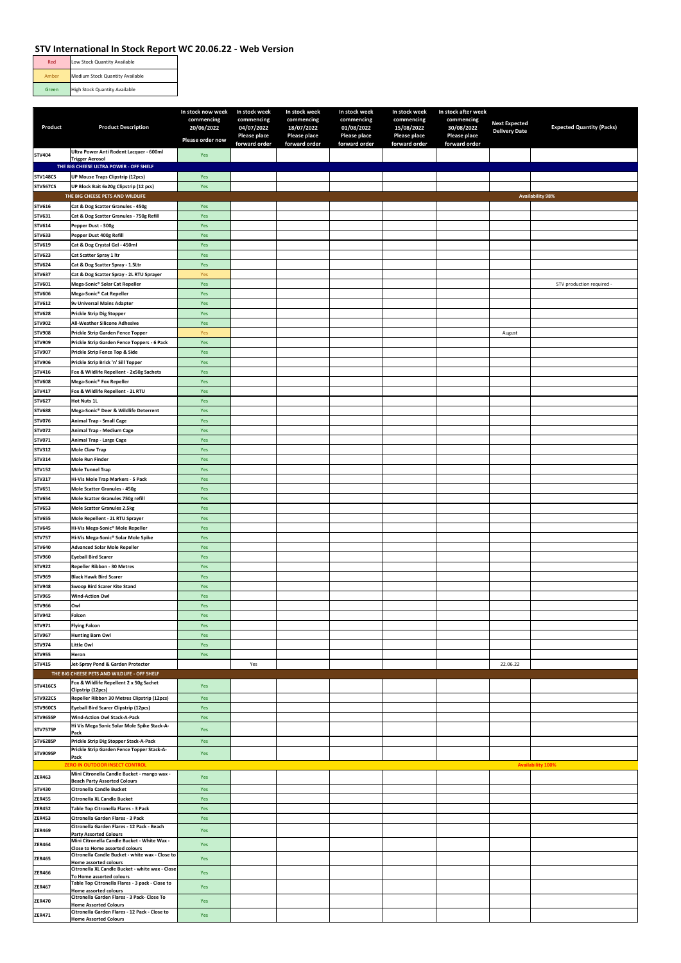| Medium Stock Quantity Available<br>Amber      |  |
|-----------------------------------------------|--|
| <b>High Stock Quantity Available</b><br>Green |  |

|                                |                                                                               | In stock now week        | In stock week              | In stock week            | In stock week              | In stock week              | In stock after week        |                      |                                  |
|--------------------------------|-------------------------------------------------------------------------------|--------------------------|----------------------------|--------------------------|----------------------------|----------------------------|----------------------------|----------------------|----------------------------------|
| Product                        | <b>Product Description</b>                                                    | commencing<br>20/06/2022 | commencing                 | commencing<br>18/07/2022 | commencing                 | commencing                 | commencing                 | <b>Next Expected</b> | <b>Expected Quantity (Packs)</b> |
|                                |                                                                               |                          | 04/07/2022<br>Please place | Please place             | 01/08/2022<br>Please place | 15/08/2022<br>Please place | 30/08/2022<br>Please place | <b>Delivery Date</b> |                                  |
|                                |                                                                               | Please order now         | forward order              | forward order            | forward order              | forward order              | forward order              |                      |                                  |
| <b>STV404</b>                  | Ultra Power Anti Rodent Lacquer - 600ml<br><b>Trigger Aerosol</b>             | Yes                      |                            |                          |                            |                            |                            |                      |                                  |
|                                | THE BIG CHEESE ULTRA POWER - OFF SHELF                                        |                          |                            |                          |                            |                            |                            |                      |                                  |
| <b>STV148CS</b>                | <b>UP Mouse Traps Clipstrip (12pcs)</b>                                       | Yes                      |                            |                          |                            |                            |                            |                      |                                  |
| <b>STV567CS</b>                | UP Block Bait 6x20g Clipstrip (12 pcs)                                        | Yes                      |                            |                          |                            |                            |                            |                      |                                  |
|                                | THE BIG CHEESE PETS AND WILDLIFE                                              |                          |                            |                          |                            |                            |                            |                      | <b>Availability 98%</b>          |
| STV616                         | Cat & Dog Scatter Granules - 450g                                             | Yes                      |                            |                          |                            |                            |                            |                      |                                  |
| STV631                         | Cat & Dog Scatter Granules - 750g Refill                                      | Yes                      |                            |                          |                            |                            |                            |                      |                                  |
| STV614                         | Pepper Dust - 300g                                                            | Yes<br>Yes               |                            |                          |                            |                            |                            |                      |                                  |
| STV633<br>STV619               | Pepper Dust 400g Refill<br>Cat & Dog Crystal Gel - 450ml                      | Yes                      |                            |                          |                            |                            |                            |                      |                                  |
| <b>STV623</b>                  | Cat Scatter Spray 1 Itr                                                       | Yes                      |                            |                          |                            |                            |                            |                      |                                  |
| <b>STV624</b>                  | Cat & Dog Scatter Spray - 1.5Ltr                                              | Yes                      |                            |                          |                            |                            |                            |                      |                                  |
| STV637                         | Cat & Dog Scatter Spray - 2L RTU Sprayer                                      | Yes                      |                            |                          |                            |                            |                            |                      |                                  |
| <b>STV601</b>                  | Mega-Sonic® Solar Cat Repeller                                                | Yes                      |                            |                          |                            |                            |                            |                      | STV production required          |
| STV606                         | Mega-Sonic® Cat Repeller                                                      | Yes                      |                            |                          |                            |                            |                            |                      |                                  |
| STV612                         | 9v Universal Mains Adapter                                                    | Yes                      |                            |                          |                            |                            |                            |                      |                                  |
| <b>STV628</b>                  | Prickle Strip Dig Stopper                                                     | Yes                      |                            |                          |                            |                            |                            |                      |                                  |
| STV902                         | All-Weather Silicone Adhesive                                                 | Yes                      |                            |                          |                            |                            |                            |                      |                                  |
| <b>STV908</b>                  | <b>Prickle Strip Garden Fence Topper</b>                                      | Yes                      |                            |                          |                            |                            |                            | August               |                                  |
| STV909<br>STV907               | Prickle Strip Garden Fence Toppers - 6 Pack<br>Prickle Strip Fence Top & Side | Yes<br>Yes               |                            |                          |                            |                            |                            |                      |                                  |
| STV906                         | Prickle Strip Brick 'n' Sill Topper                                           | Yes                      |                            |                          |                            |                            |                            |                      |                                  |
| STV416                         | Fox & Wildlife Repellent - 2x50g Sachets                                      | Yes                      |                            |                          |                            |                            |                            |                      |                                  |
| <b>STV608</b>                  | Mega-Sonic® Fox Repeller                                                      | Yes                      |                            |                          |                            |                            |                            |                      |                                  |
| STV417                         | Fox & Wildlife Repellent - 2L RTU                                             | Yes                      |                            |                          |                            |                            |                            |                      |                                  |
| <b>STV627</b>                  | <b>Hot Nuts 1L</b>                                                            | Yes                      |                            |                          |                            |                            |                            |                      |                                  |
| <b>STV688</b>                  | Mega-Sonic® Deer & Wildlife Deterrent                                         | Yes                      |                            |                          |                            |                            |                            |                      |                                  |
| STV076                         | Animal Trap - Small Cage                                                      | Yes                      |                            |                          |                            |                            |                            |                      |                                  |
| <b>STV072</b>                  | Animal Trap - Medium Cage                                                     | Yes                      |                            |                          |                            |                            |                            |                      |                                  |
| <b>STV071</b><br>STV312        | Animal Trap - Large Cage<br><b>Mole Claw Trap</b>                             | Yes<br>Yes               |                            |                          |                            |                            |                            |                      |                                  |
| STV314                         | <b>Mole Run Finder</b>                                                        | Yes                      |                            |                          |                            |                            |                            |                      |                                  |
| <b>STV152</b>                  | <b>Mole Tunnel Trap</b>                                                       | Yes                      |                            |                          |                            |                            |                            |                      |                                  |
| STV317                         | Hi-Vis Mole Trap Markers - 5 Pack                                             | Yes                      |                            |                          |                            |                            |                            |                      |                                  |
| STV651                         | Mole Scatter Granules - 450g                                                  | Yes                      |                            |                          |                            |                            |                            |                      |                                  |
| <b>STV654</b>                  | Mole Scatter Granules 750g refill                                             | Yes                      |                            |                          |                            |                            |                            |                      |                                  |
| <b>STV653</b>                  | Mole Scatter Granules 2.5kg                                                   | Yes                      |                            |                          |                            |                            |                            |                      |                                  |
| <b>STV655</b>                  | Mole Repellent - 2L RTU Sprayer                                               | Yes                      |                            |                          |                            |                            |                            |                      |                                  |
| <b>STV645</b>                  | Hi-Vis Mega-Sonic® Mole Repeller                                              | Yes                      |                            |                          |                            |                            |                            |                      |                                  |
| <b>STV757</b><br>STV640        | Hi-Vis Mega-Sonic® Solar Mole Spike<br><b>Advanced Solar Mole Repeller</b>    | Yes<br>Yes               |                            |                          |                            |                            |                            |                      |                                  |
| <b>STV960</b>                  | Eyeball Bird Scarer                                                           | Yes                      |                            |                          |                            |                            |                            |                      |                                  |
| <b>STV922</b>                  | Repeller Ribbon - 30 Metres                                                   | Yes                      |                            |                          |                            |                            |                            |                      |                                  |
| STV969                         | <b>Black Hawk Bird Scarer</b>                                                 | Yes                      |                            |                          |                            |                            |                            |                      |                                  |
| <b>STV948</b>                  | Swoop Bird Scarer Kite Stand                                                  | Yes                      |                            |                          |                            |                            |                            |                      |                                  |
| STV965                         | <b>Wind-Action Owl</b>                                                        | Yes                      |                            |                          |                            |                            |                            |                      |                                  |
| STV966                         | Owl                                                                           | Yes                      |                            |                          |                            |                            |                            |                      |                                  |
| STV942                         | Falcon                                                                        | Yes                      |                            |                          |                            |                            |                            |                      |                                  |
| STV971<br>STV967               | <b>Flying Falcon</b><br><b>Hunting Barn Owl</b>                               | Yes<br>Yes               |                            |                          |                            |                            |                            |                      |                                  |
| <b>STV974</b>                  | Little Owl                                                                    | Yes                      |                            |                          |                            |                            |                            |                      |                                  |
| <b>STV955</b>                  | Heron                                                                         | Yes                      |                            |                          |                            |                            |                            |                      |                                  |
| STV415                         | Jet-Spray Pond & Garden Protector                                             |                          | Yes                        |                          |                            |                            |                            | 22.06.22             |                                  |
|                                | THE BIG CHEESE PETS AND WILDLIFE - OFF SHELF                                  |                          |                            |                          |                            |                            |                            |                      |                                  |
| <b>STV416CS</b>                | Fox & Wildlife Repellent 2 x 50g Sachet<br>Clipstrip (12pcs)                  | Yes                      |                            |                          |                            |                            |                            |                      |                                  |
| <b>STV922CS</b>                | Repeller Ribbon 30 Metres Clipstrip (12pcs)                                   | Yes                      |                            |                          |                            |                            |                            |                      |                                  |
| STV960CS                       | Eyeball Bird Scarer Clipstrip (12pcs)                                         | Yes                      |                            |                          |                            |                            |                            |                      |                                  |
| STV965SP                       | Wind-Action Owl Stack-A-Pack                                                  | Yes                      |                            |                          |                            |                            |                            |                      |                                  |
| STV757SP                       | Hi Vis Mega Sonic Solar Mole Spike Stack-A-<br>Pack                           | Yes                      |                            |                          |                            |                            |                            |                      |                                  |
| STV628SP                       | Prickle Strip Dig Stopper Stack-A-Pack                                        | Yes                      |                            |                          |                            |                            |                            |                      |                                  |
| STV909SP                       | Prickle Strip Garden Fence Topper Stack-A-                                    | Yes                      |                            |                          |                            |                            |                            |                      |                                  |
|                                | Pack<br>ZERO IN OUTDOOR INSECT CONTROL                                        |                          |                            |                          |                            |                            |                            |                      | <b>Availability 100%</b>         |
| ZER463                         | Mini Citronella Candle Bucket - mango wax -                                   | Yes                      |                            |                          |                            |                            |                            |                      |                                  |
|                                | <b>Beach Party Assorted Colours</b>                                           |                          |                            |                          |                            |                            |                            |                      |                                  |
| <b>STV430</b><br><b>ZER455</b> | <b>Citronella Candle Bucket</b><br><b>Citronella XL Candle Bucket</b>         | Yes<br>Yes               |                            |                          |                            |                            |                            |                      |                                  |
| <b>ZER452</b>                  | Table Top Citronella Flares - 3 Pack                                          | Yes                      |                            |                          |                            |                            |                            |                      |                                  |
| <b>ZER453</b>                  | Citronella Garden Flares - 3 Pack                                             | Yes                      |                            |                          |                            |                            |                            |                      |                                  |
| <b>ZER469</b>                  | Citronella Garden Flares - 12 Pack - Beach                                    | Yes                      |                            |                          |                            |                            |                            |                      |                                  |
|                                | <b>Party Assorted Colours</b><br>Mini Citronella Candle Bucket - White Wax -  |                          |                            |                          |                            |                            |                            |                      |                                  |
| ZER464                         | Close to Home assorted colours                                                | Yes                      |                            |                          |                            |                            |                            |                      |                                  |
| <b>ZER465</b>                  | Citronella Candle Bucket - white wax - Close to<br>Home assorted colours      | Yes                      |                            |                          |                            |                            |                            |                      |                                  |
| <b>ZER466</b>                  | Citronella XL Candle Bucket - white wax - Close                               | Yes                      |                            |                          |                            |                            |                            |                      |                                  |
|                                | To Home assorted colours<br>Table Top Citronella Flares - 3 pack - Close to   |                          |                            |                          |                            |                            |                            |                      |                                  |
| <b>ZER467</b>                  | Home assorted colours                                                         | Yes                      |                            |                          |                            |                            |                            |                      |                                  |
| <b>ZER470</b>                  | Citronella Garden Flares - 3 Pack- Close To<br><b>Home Assorted Colours</b>   | Yes                      |                            |                          |                            |                            |                            |                      |                                  |
| <b>ZER471</b>                  | Citronella Garden Flares - 12 Pack - Close to<br><b>Home Assorted Colours</b> | Yes                      |                            |                          |                            |                            |                            |                      |                                  |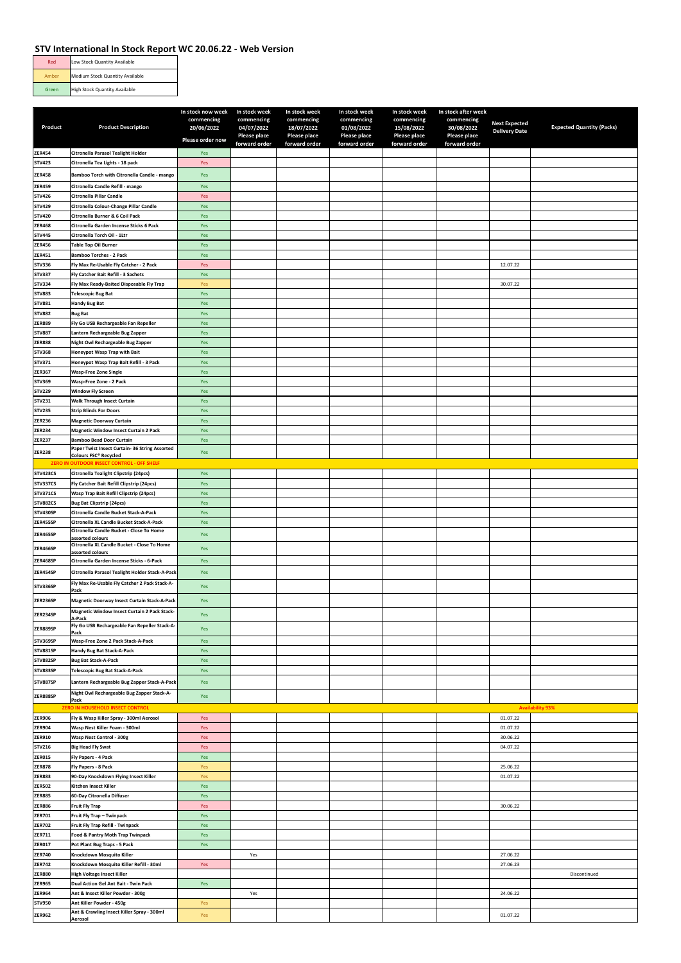| Red   | Low Stock Quantity Available         |
|-------|--------------------------------------|
| Amber | Medium Stock Quantity Available      |
| Green | <b>High Stock Quantity Available</b> |

|                                |                                                                                   | In stock now week        | In stock week            | In stock week            | In stock week            | In stock week            | In stock after week      |                      |                                  |
|--------------------------------|-----------------------------------------------------------------------------------|--------------------------|--------------------------|--------------------------|--------------------------|--------------------------|--------------------------|----------------------|----------------------------------|
| Product                        | <b>Product Description</b>                                                        | commencing<br>20/06/2022 | commencing<br>04/07/2022 | commencing<br>18/07/2022 | commencing<br>01/08/2022 | commencing<br>15/08/2022 | commencing<br>30/08/2022 | <b>Next Expected</b> | <b>Expected Quantity (Packs)</b> |
|                                |                                                                                   |                          | Please place             | Please place             | Please place             | Please place             | <b>Please place</b>      | <b>Delivery Date</b> |                                  |
|                                |                                                                                   | Please order now         | forward order            | forward order            | forward order            | forward order            | forward order            |                      |                                  |
| <b>ZER454</b>                  | Citronella Parasol Tealight Holder                                                | Yes                      |                          |                          |                          |                          |                          |                      |                                  |
| <b>STV423</b>                  | Citronella Tea Lights - 18 pack                                                   | Yes                      |                          |                          |                          |                          |                          |                      |                                  |
| <b>ZER458</b>                  | Bamboo Torch with Citronella Candle - mango                                       | Yes                      |                          |                          |                          |                          |                          |                      |                                  |
| <b>ZER459</b>                  | Citronella Candle Refill - mango                                                  | Yes                      |                          |                          |                          |                          |                          |                      |                                  |
| STV426                         | Citronella Pillar Candle                                                          | Yes                      |                          |                          |                          |                          |                          |                      |                                  |
| STV429                         | Citronella Colour-Change Pillar Candle                                            | Yes                      |                          |                          |                          |                          |                          |                      |                                  |
| STV420                         | Citronella Burner & 6 Coil Pack                                                   | Yes                      |                          |                          |                          |                          |                          |                      |                                  |
| <b>ZER468</b>                  | Citronella Garden Incense Sticks 6 Pack                                           | Yes                      |                          |                          |                          |                          |                          |                      |                                  |
| <b>STV445</b>                  | Citronella Torch Oil - 1Ltr                                                       | Yes                      |                          |                          |                          |                          |                          |                      |                                  |
| <b>ZER456</b>                  | <b>Table Top Oil Burner</b>                                                       | Yes                      |                          |                          |                          |                          |                          |                      |                                  |
| <b>ZER451</b>                  | <b>Bamboo Torches - 2 Pack</b>                                                    | Yes                      |                          |                          |                          |                          |                          |                      |                                  |
| STV336                         | Fly Max Re-Usable Fly Catcher - 2 Pack                                            | Yes                      |                          |                          |                          |                          |                          | 12.07.22             |                                  |
| STV337                         | Fly Catcher Bait Refill - 3 Sachets                                               | Yes                      |                          |                          |                          |                          |                          |                      |                                  |
| STV334                         | Fly Max Ready-Baited Disposable Fly Trap                                          | Yes                      |                          |                          |                          |                          |                          | 30.07.22             |                                  |
| <b>STV883</b><br><b>STV881</b> | <b>Telescopic Bug Bat</b><br><b>Handy Bug Bat</b>                                 | Yes<br>Yes               |                          |                          |                          |                          |                          |                      |                                  |
| <b>STV882</b>                  | <b>Bug Bat</b>                                                                    | Yes                      |                          |                          |                          |                          |                          |                      |                                  |
| <b>ZER889</b>                  | Fly Go USB Rechargeable Fan Repeller                                              | Yes                      |                          |                          |                          |                          |                          |                      |                                  |
| <b>STV887</b>                  | Lantern Rechargeable Bug Zapper                                                   | Yes                      |                          |                          |                          |                          |                          |                      |                                  |
| <b>ZER888</b>                  | Night Owl Rechargeable Bug Zapper                                                 | Yes                      |                          |                          |                          |                          |                          |                      |                                  |
| <b>STV368</b>                  | Honeypot Wasp Trap with Bait                                                      | Yes                      |                          |                          |                          |                          |                          |                      |                                  |
| STV371                         | Honeypot Wasp Trap Bait Refill - 3 Pack                                           | Yes                      |                          |                          |                          |                          |                          |                      |                                  |
| <b>ZER367</b>                  | <b>Wasp-Free Zone Single</b>                                                      | Yes                      |                          |                          |                          |                          |                          |                      |                                  |
| STV369                         | Wasp-Free Zone - 2 Pack                                                           | Yes                      |                          |                          |                          |                          |                          |                      |                                  |
| STV229                         | <b>Window Fly Screen</b>                                                          | Yes                      |                          |                          |                          |                          |                          |                      |                                  |
| STV231                         | Walk Through Insect Curtain                                                       | Yes                      |                          |                          |                          |                          |                          |                      |                                  |
| <b>STV235</b>                  | <b>Strip Blinds For Doors</b>                                                     | Yes                      |                          |                          |                          |                          |                          |                      |                                  |
| <b>ZER236</b>                  | <b>Magnetic Doorway Curtain</b>                                                   | Yes                      |                          |                          |                          |                          |                          |                      |                                  |
| <b>ZER234</b>                  | <b>Magnetic Window Insect Curtain 2 Pack</b>                                      | Yes                      |                          |                          |                          |                          |                          |                      |                                  |
| <b>ZER237</b>                  | <b>Bamboo Bead Door Curtain</b><br>Paper Twist Insect Curtain- 36 String Assorted | Yes                      |                          |                          |                          |                          |                          |                      |                                  |
| <b>ZER238</b>                  | Colours FSC® Recycled                                                             | Yes                      |                          |                          |                          |                          |                          |                      |                                  |
| <b>ZERO IN</b>                 | I OUTDOOR INSECT CONTROL - OFF SHELF                                              |                          |                          |                          |                          |                          |                          |                      |                                  |
| STV423CS                       | Citronella Tealight Clipstrip (24pcs)                                             | Yes                      |                          |                          |                          |                          |                          |                      |                                  |
| STV337CS                       | Fly Catcher Bait Refill Clipstrip (24pcs)                                         | Yes                      |                          |                          |                          |                          |                          |                      |                                  |
| STV371CS                       | Wasp Trap Bait Refill Clipstrip (24pcs)                                           | Yes                      |                          |                          |                          |                          |                          |                      |                                  |
| <b>STV882CS</b><br>STV430SP    | <b>Bug Bat Clipstrip (24pcs)</b><br>Citronella Candle Bucket Stack-A-Pack         | Yes<br>Yes               |                          |                          |                          |                          |                          |                      |                                  |
| ZER455SP                       | Citronella XL Candle Bucket Stack-A-Pack                                          | Yes                      |                          |                          |                          |                          |                          |                      |                                  |
| ZER465SP                       | Citronella Candle Bucket - Close To Home                                          | Yes                      |                          |                          |                          |                          |                          |                      |                                  |
|                                | assorted colours<br>Citronella XL Candle Bucket - Close To Home                   |                          |                          |                          |                          |                          |                          |                      |                                  |
| ZER466SP                       | assorted colours                                                                  | Yes                      |                          |                          |                          |                          |                          |                      |                                  |
| ZER468SP                       | Citronella Garden Incense Sticks - 6-Pack                                         | Yes                      |                          |                          |                          |                          |                          |                      |                                  |
| ZER454SP                       | Citronella Parasol Tealight Holder Stack-A-Pack                                   | Yes                      |                          |                          |                          |                          |                          |                      |                                  |
| STV336SP                       | Fly Max Re-Usable Fly Catcher 2 Pack Stack-A-                                     | Yes                      |                          |                          |                          |                          |                          |                      |                                  |
|                                | Pack                                                                              |                          |                          |                          |                          |                          |                          |                      |                                  |
| ZER236SP                       | Magnetic Doorway Insect Curtain Stack-A-Pack                                      | Yes                      |                          |                          |                          |                          |                          |                      |                                  |
| ZER234SP                       | Magnetic Window Insect Curtain 2 Pack Stack-<br>-Pack                             | Yes                      |                          |                          |                          |                          |                          |                      |                                  |
| ZER889SP                       | Fly Go USB Rechargeable Fan Repeller Stack-A-                                     | Yes                      |                          |                          |                          |                          |                          |                      |                                  |
|                                | Pack                                                                              |                          |                          |                          |                          |                          |                          |                      |                                  |
| STV369SP<br><b>STV881SP</b>    | Wasp-Free Zone 2 Pack Stack-A-Pack<br>Handy Bug Bat Stack-A-Pack                  | Yes                      |                          |                          |                          |                          |                          |                      |                                  |
| <b>STV882SP</b>                | <b>Bug Bat Stack-A-Pack</b>                                                       | Yes<br>Yes               |                          |                          |                          |                          |                          |                      |                                  |
| <b>STV883SP</b>                | Telescopic Bug Bat Stack-A-Pack                                                   | Yes                      |                          |                          |                          |                          |                          |                      |                                  |
| <b>STV887SP</b>                | Lantern Rechargeable Bug Zapper Stack-A-Pack                                      | Yes                      |                          |                          |                          |                          |                          |                      |                                  |
|                                | Night Owl Rechargeable Bug Zapper Stack-A-                                        |                          |                          |                          |                          |                          |                          |                      |                                  |
| ZER888SP                       | Pack                                                                              | Yes                      |                          |                          |                          |                          |                          |                      |                                  |
|                                | ZERO IN HOUSEHOLD INSECT CONTROL                                                  |                          |                          |                          |                          |                          |                          |                      | <b>Availability 93%</b>          |
| <b>ZER906</b>                  | Fly & Wasp Killer Spray - 300ml Aerosol                                           | Yes                      |                          |                          |                          |                          |                          | 01.07.22             |                                  |
| <b>ZER904</b>                  | Wasp Nest Killer Foam - 300ml                                                     | Yes                      |                          |                          |                          |                          |                          | 01.07.22             |                                  |
| ZER910                         | Wasp Nest Control - 300g                                                          | Yes                      |                          |                          |                          |                          |                          | 30.06.22             |                                  |
| STV216                         | <b>Big Head Fly Swat</b>                                                          | Yes                      |                          |                          |                          |                          |                          | 04.07.22             |                                  |
| <b>ZER015</b><br><b>ZER878</b> | Fly Papers - 4 Pack                                                               | Yes<br>Yes               |                          |                          |                          |                          |                          |                      |                                  |
| <b>ZER883</b>                  | Fly Papers - 8 Pack<br>90-Day Knockdown Flying Insect Killer                      | Yes                      |                          |                          |                          |                          |                          | 25.06.22<br>01.07.22 |                                  |
| <b>ZER502</b>                  | Kitchen Insect Killer                                                             | Yes                      |                          |                          |                          |                          |                          |                      |                                  |
| <b>ZER885</b>                  | 60-Day Citronella Diffuser                                                        | Yes                      |                          |                          |                          |                          |                          |                      |                                  |
| <b>ZER886</b>                  | <b>Fruit Fly Trap</b>                                                             | Yes                      |                          |                          |                          |                          |                          | 30.06.22             |                                  |
| ZER701                         | Fruit Fly Trap - Twinpack                                                         | Yes                      |                          |                          |                          |                          |                          |                      |                                  |
| <b>ZER702</b>                  | Fruit Fly Trap Refill - Twinpack                                                  | Yes                      |                          |                          |                          |                          |                          |                      |                                  |
| ZER711                         | Food & Pantry Moth Trap Twinpack                                                  | Yes                      |                          |                          |                          |                          |                          |                      |                                  |
| <b>ZER017</b>                  | Pot Plant Bug Traps - 5 Pack                                                      | Yes                      |                          |                          |                          |                          |                          |                      |                                  |
| <b>ZER740</b>                  | Knockdown Mosquito Killer                                                         |                          | Yes                      |                          |                          |                          |                          | 27.06.22             |                                  |
| <b>ZER742</b>                  | Knockdown Mosquito Killer Refill - 30ml                                           | Yes                      |                          |                          |                          |                          |                          | 27.06.23             |                                  |
| <b>ZER880</b>                  | High Voltage Insect Killer                                                        |                          |                          |                          |                          |                          |                          |                      | Discontinued                     |
| <b>ZER965</b>                  | Dual Action Gel Ant Bait - Twin Pack                                              | Yes                      |                          |                          |                          |                          |                          |                      |                                  |
| <b>ZER964</b><br><b>STV950</b> | Ant & Insect Killer Powder - 300g<br>Ant Killer Powder - 450g                     | Yes                      | Yes                      |                          |                          |                          |                          | 24.06.22             |                                  |
|                                | Ant & Crawling Insect Killer Spray - 300ml                                        |                          |                          |                          |                          |                          |                          |                      |                                  |
| <b>ZER962</b>                  | Aerosol                                                                           | Yes                      |                          |                          |                          |                          |                          | 01.07.22             |                                  |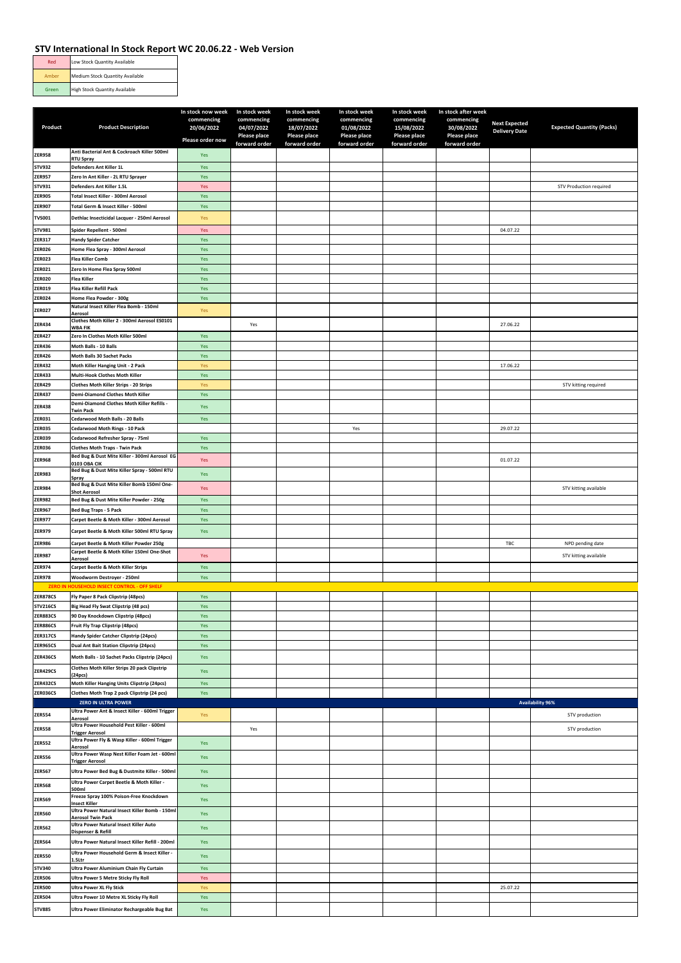| Red   | Low Stock Quantity Available         |
|-------|--------------------------------------|
| Amber | Medium Stock Quantity Available      |
| Green | <b>High Stock Quantity Available</b> |

|                 |                                                                                       | In stock now week        | In stock week            | In stock week            | In stock week            | In stock week            | In stock after week      |                      |                                  |
|-----------------|---------------------------------------------------------------------------------------|--------------------------|--------------------------|--------------------------|--------------------------|--------------------------|--------------------------|----------------------|----------------------------------|
| Product         | <b>Product Description</b>                                                            | commencing<br>20/06/2022 | commencing<br>04/07/2022 | commencing<br>18/07/2022 | commencing<br>01/08/2022 | commencing<br>15/08/2022 | commencing<br>30/08/2022 | <b>Next Expected</b> | <b>Expected Quantity (Packs)</b> |
|                 |                                                                                       |                          | Please place             | Please place             | Please place             | Please place             | Please place             | <b>Delivery Date</b> |                                  |
|                 |                                                                                       | Please order now         | forward order            | forward order            | forward order            | forward order            | forward order            |                      |                                  |
| <b>ZER958</b>   | Anti Bacterial Ant & Cockroach Killer 500ml<br><b>RTU Spray</b>                       | Yes                      |                          |                          |                          |                          |                          |                      |                                  |
| <b>STV932</b>   | Defenders Ant Killer 1L                                                               | Yes                      |                          |                          |                          |                          |                          |                      |                                  |
| <b>ZER957</b>   | Zero In Ant Killer - 2L RTU Sprayer                                                   | Yes                      |                          |                          |                          |                          |                          |                      |                                  |
| STV931          | Defenders Ant Killer 1.5L                                                             | Yes                      |                          |                          |                          |                          |                          |                      | STV Production required          |
| <b>ZER905</b>   | Total Insect Killer - 300ml Aerosol                                                   | Yes                      |                          |                          |                          |                          |                          |                      |                                  |
| <b>ZER907</b>   | Total Germ & Insect Killer - 500ml                                                    | Yes                      |                          |                          |                          |                          |                          |                      |                                  |
| <b>TVS001</b>   | Dethlac Insecticidal Lacquer - 250ml Aerosol                                          | Yes                      |                          |                          |                          |                          |                          |                      |                                  |
| STV981          | Spider Repellent - 500ml                                                              | Yes                      |                          |                          |                          |                          |                          | 04.07.22             |                                  |
| ZER317          | <b>Handy Spider Catcher</b>                                                           | Yes                      |                          |                          |                          |                          |                          |                      |                                  |
| <b>ZER026</b>   | Home Flea Spray - 300ml Aerosol                                                       | Yes                      |                          |                          |                          |                          |                          |                      |                                  |
| <b>ZER023</b>   | <b>Flea Killer Comb</b>                                                               | Yes                      |                          |                          |                          |                          |                          |                      |                                  |
| <b>ZER021</b>   | Zero In Home Flea Spray 500ml                                                         | Yes                      |                          |                          |                          |                          |                          |                      |                                  |
| <b>ZER020</b>   | <b>Flea Killer</b>                                                                    | Yes                      |                          |                          |                          |                          |                          |                      |                                  |
| <b>ZER019</b>   | Flea Killer Refill Pack                                                               | Yes                      |                          |                          |                          |                          |                          |                      |                                  |
| <b>ZER024</b>   | Home Flea Powder - 300g                                                               | Yes                      |                          |                          |                          |                          |                          |                      |                                  |
| <b>ZER027</b>   | Natural Insect Killer Flea Bomb - 150ml                                               | Yes                      |                          |                          |                          |                          |                          |                      |                                  |
|                 | Aerosol<br>Clothes Moth Killer 2 - 300ml Aerosol ES0101                               |                          |                          |                          |                          |                          |                          |                      |                                  |
| <b>ZER434</b>   | <b>WBA FIK</b>                                                                        |                          | Yes                      |                          |                          |                          |                          | 27.06.22             |                                  |
| <b>ZER427</b>   | Zero In Clothes Moth Killer 500ml                                                     | Yes                      |                          |                          |                          |                          |                          |                      |                                  |
| ZER436          | Moth Balls - 10 Balls                                                                 | Yes                      |                          |                          |                          |                          |                          |                      |                                  |
| <b>ZER426</b>   | Moth Balls 30 Sachet Packs                                                            | Yes                      |                          |                          |                          |                          |                          |                      |                                  |
| <b>ZER432</b>   | Moth Killer Hanging Unit - 2 Pack                                                     | Yes                      |                          |                          |                          |                          |                          | 17.06.22             |                                  |
| ZER433          | Multi-Hook Clothes Moth Killer                                                        | Yes                      |                          |                          |                          |                          |                          |                      |                                  |
| <b>ZER429</b>   | Clothes Moth Killer Strips - 20 Strips                                                | Yes                      |                          |                          |                          |                          |                          |                      | STV kitting required             |
| <b>ZER437</b>   | <b>Demi-Diamond Clothes Moth Killer</b><br>Demi-Diamond Clothes Moth Killer Refills - | Yes                      |                          |                          |                          |                          |                          |                      |                                  |
| <b>ZER438</b>   | <b>Twin Pack</b>                                                                      | Yes                      |                          |                          |                          |                          |                          |                      |                                  |
| ZER031          | Cedarwood Moth Balls - 20 Balls                                                       | Yes                      |                          |                          |                          |                          |                          |                      |                                  |
| <b>ZER035</b>   | Cedarwood Moth Rings - 10 Pack                                                        |                          |                          |                          | Yes                      |                          |                          | 29.07.22             |                                  |
| <b>ZER039</b>   | Cedarwood Refresher Spray - 75ml                                                      | Yes                      |                          |                          |                          |                          |                          |                      |                                  |
| <b>ZER036</b>   | <b>Clothes Moth Traps - Twin Pack</b>                                                 | Yes                      |                          |                          |                          |                          |                          |                      |                                  |
| <b>ZER968</b>   | Bed Bug & Dust Mite Killer - 300ml Aerosol EG<br>0103 OBA CIK                         | Yes                      |                          |                          |                          |                          |                          | 01.07.22             |                                  |
| <b>ZER983</b>   | Bed Bug & Dust Mite Killer Spray - 500ml RTU                                          | Yes                      |                          |                          |                          |                          |                          |                      |                                  |
|                 | Spray<br>Bed Bug & Dust Mite Killer Bomb 150ml One-                                   |                          |                          |                          |                          |                          |                          |                      |                                  |
| <b>ZER984</b>   | <b>Shot Aerosol</b>                                                                   | Yes                      |                          |                          |                          |                          |                          |                      | STV kitting available            |
| <b>ZER982</b>   | Bed Bug & Dust Mite Killer Powder - 250g                                              | Yes                      |                          |                          |                          |                          |                          |                      |                                  |
| <b>ZER967</b>   | <b>Bed Bug Traps - 5 Pack</b>                                                         | Yes                      |                          |                          |                          |                          |                          |                      |                                  |
| <b>ZER977</b>   | Carpet Beetle & Moth Killer - 300ml Aerosol                                           | Yes                      |                          |                          |                          |                          |                          |                      |                                  |
| <b>ZER979</b>   | Carpet Beetle & Moth Killer 500ml RTU Spray                                           | Yes                      |                          |                          |                          |                          |                          |                      |                                  |
| <b>ZER986</b>   | Carpet Beetle & Moth Killer Powder 250g                                               |                          |                          |                          |                          |                          |                          | TBC                  | NPD pending date                 |
| <b>ZER987</b>   | Carpet Beetle & Moth Killer 150ml One-Shot                                            | Yes                      |                          |                          |                          |                          |                          |                      | STV kitting available            |
|                 | Aerosol                                                                               |                          |                          |                          |                          |                          |                          |                      |                                  |
| ZER974          | Carpet Beetle & Moth Killer Strips                                                    | Yes                      |                          |                          |                          |                          |                          |                      |                                  |
| <b>ZER978</b>   | Woodworm Destroyer - 250ml<br>ZERO IN HOUSEHOLD INSECT CONTROL - OFF SHELF            | Yes                      |                          |                          |                          |                          |                          |                      |                                  |
| <b>ZER878CS</b> | Fly Paper 8 Pack Clipstrip (48pcs)                                                    | Yes                      |                          |                          |                          |                          |                          |                      |                                  |
| <b>STV216CS</b> | Big Head Fly Swat Clipstrip (48 pcs)                                                  | Yes                      |                          |                          |                          |                          |                          |                      |                                  |
| ZER883CS        | 90 Day Knockdown Clipstrip (48pcs)                                                    | Yes                      |                          |                          |                          |                          |                          |                      |                                  |
| <b>ZER886CS</b> | Fruit Fly Trap Clipstrip (48pcs)                                                      | Yes                      |                          |                          |                          |                          |                          |                      |                                  |
| <b>ZER317CS</b> | Handy Spider Catcher Clipstrip (24pcs)                                                | Yes                      |                          |                          |                          |                          |                          |                      |                                  |
| <b>ZER965CS</b> | Dual Ant Bait Station Clipstrip (24pcs)                                               | Yes                      |                          |                          |                          |                          |                          |                      |                                  |
| ZER436CS        | Moth Balls - 10 Sachet Packs Clipstrip (24pcs)                                        | Yes                      |                          |                          |                          |                          |                          |                      |                                  |
|                 | Clothes Moth Killer Strips 20 pack Clipstrip                                          |                          |                          |                          |                          |                          |                          |                      |                                  |
| <b>ZER429CS</b> | (24 <sub>DCS</sub> )                                                                  | Yes                      |                          |                          |                          |                          |                          |                      |                                  |
| ZER432CS        | Moth Killer Hanging Units Clipstrip (24pcs)                                           | Yes                      |                          |                          |                          |                          |                          |                      |                                  |
| ZER036CS        | Clothes Moth Trap 2 pack Clipstrip (24 pcs)                                           | Yes                      |                          |                          |                          |                          |                          |                      |                                  |
|                 | ZERO IN ULTRA POWER                                                                   |                          |                          |                          |                          |                          |                          |                      | <b>Availability 96%</b>          |
| <b>ZER554</b>   | Ultra Power Ant & Insect Killer - 600ml Trigger<br>Aerosol                            | Yes                      |                          |                          |                          |                          |                          |                      | STV production                   |
| <b>ZER558</b>   | Ultra Power Household Pest Killer - 600ml                                             |                          | Yes                      |                          |                          |                          |                          |                      | STV production                   |
|                 | <b>Trigger Aerosol</b><br>Ultra Power Fly & Wasp Killer - 600ml Trigger               |                          |                          |                          |                          |                          |                          |                      |                                  |
| <b>ZER552</b>   | Aerosol                                                                               | Yes                      |                          |                          |                          |                          |                          |                      |                                  |
| <b>ZER556</b>   | Ultra Power Wasp Nest Killer Foam Jet - 600ml                                         | Yes                      |                          |                          |                          |                          |                          |                      |                                  |
| <b>ZER567</b>   | <b>Trigger Aerosol</b><br>Ultra Power Bed Bug & Dustmite Killer - 500ml               |                          |                          |                          |                          |                          |                          |                      |                                  |
|                 |                                                                                       | Yes                      |                          |                          |                          |                          |                          |                      |                                  |
| <b>ZER568</b>   | Ultra Power Carpet Beetle & Moth Killer -<br>500ml                                    | Yes                      |                          |                          |                          |                          |                          |                      |                                  |
| <b>ZER569</b>   | Freeze Spray 100% Poison-Free Knockdown                                               | Yes                      |                          |                          |                          |                          |                          |                      |                                  |
|                 | Insect Killer<br>Ultra Power Natural Insect Killer Bomb - 150ml                       |                          |                          |                          |                          |                          |                          |                      |                                  |
| <b>ZER560</b>   | <b>Aerosol Twin Pack</b>                                                              | Yes                      |                          |                          |                          |                          |                          |                      |                                  |
| <b>ZER562</b>   | Ultra Power Natural Insect Killer Auto<br>Dispenser & Refill                          | Yes                      |                          |                          |                          |                          |                          |                      |                                  |
|                 | Ultra Power Natural Insect Killer Refill - 200ml                                      |                          |                          |                          |                          |                          |                          |                      |                                  |
| <b>ZER564</b>   |                                                                                       | Yes                      |                          |                          |                          |                          |                          |                      |                                  |
| <b>ZER550</b>   | Ultra Power Household Germ & Insect Killer -<br>1.5Ltr                                | Yes                      |                          |                          |                          |                          |                          |                      |                                  |
| STV340          | Ultra Power Aluminium Chain Fly Curtain                                               | Yes                      |                          |                          |                          |                          |                          |                      |                                  |
| <b>ZER506</b>   | Ultra Power 5 Metre Sticky Fly Roll                                                   | Yes                      |                          |                          |                          |                          |                          |                      |                                  |
| <b>ZER500</b>   | <b>Ultra Power XL Fly Stick</b>                                                       | Yes                      |                          |                          |                          |                          |                          | 25.07.22             |                                  |
| <b>ZER504</b>   | Ultra Power 10 Metre XL Sticky Fly Roll                                               | Yes                      |                          |                          |                          |                          |                          |                      |                                  |
| <b>STV885</b>   | Ultra Power Eliminator Rechargeable Bug Bat                                           | Yes                      |                          |                          |                          |                          |                          |                      |                                  |
|                 |                                                                                       |                          |                          |                          |                          |                          |                          |                      |                                  |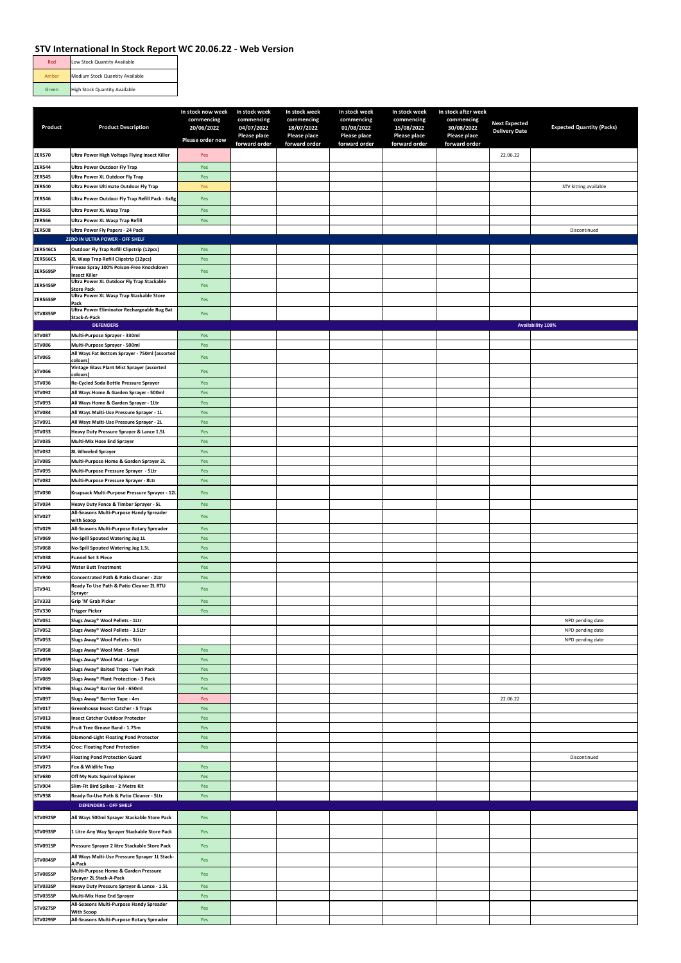| Red   | Low Stock Quantity Available         |
|-------|--------------------------------------|
| Amber | Medium Stock Quantity Available      |
| Green | <b>High Stock Quantity Available</b> |

|                                |                                                                                    | In stock now week<br>commencing | In stock week<br>commencing   | In stock week<br>commencing   | In stock week<br>commencing   | In stock week<br>commencing   | In stock after week<br>commencing |                                              |                                  |
|--------------------------------|------------------------------------------------------------------------------------|---------------------------------|-------------------------------|-------------------------------|-------------------------------|-------------------------------|-----------------------------------|----------------------------------------------|----------------------------------|
| Product                        | <b>Product Description</b>                                                         | 20/06/2022                      | 04/07/2022                    | 18/07/2022                    | 01/08/2022                    | 15/08/2022                    | 30/08/2022                        | <b>Next Expected</b><br><b>Delivery Date</b> | <b>Expected Quantity (Packs)</b> |
|                                |                                                                                    | Please order now                | Please place<br>forward order | Please place<br>forward order | Please place<br>forward order | Please place<br>forward order | Please place<br>forward order     |                                              |                                  |
| <b>ZER570</b>                  | Ultra Power High Voltage Flying Insect Killer                                      | Yes                             |                               |                               |                               |                               |                                   | 22.06.22                                     |                                  |
| <b>ZER544</b>                  | <b>Ultra Power Outdoor Fly Trap</b>                                                | Yes                             |                               |                               |                               |                               |                                   |                                              |                                  |
| <b>ZER545</b>                  | Ultra Power XL Outdoor Fly Trap                                                    | Yes                             |                               |                               |                               |                               |                                   |                                              |                                  |
| <b>ZER540</b>                  | Ultra Power Ultimate Outdoor Fly Trap                                              | Yes                             |                               |                               |                               |                               |                                   |                                              | STV kitting available            |
| <b>ZER546</b>                  | Ultra Power Outdoor Fly Trap Refill Pack - 6x8g                                    | Yes                             |                               |                               |                               |                               |                                   |                                              |                                  |
| <b>ZER565</b><br><b>ZER566</b> | Ultra Power XL Wasp Trap<br>Ultra Power XL Wasp Trap Refill                        | Yes<br>Yes                      |                               |                               |                               |                               |                                   |                                              |                                  |
| <b>ZER508</b>                  | Ultra Power Fly Papers - 24 Pack                                                   |                                 |                               |                               |                               |                               |                                   |                                              | Discontinued                     |
|                                | ZERO IN ULTRA POWER - OFF SHELF                                                    |                                 |                               |                               |                               |                               |                                   |                                              |                                  |
| <b>ZER546CS</b>                | Outdoor Fly Trap Refill Clipstrip (12pcs)                                          | Yes                             |                               |                               |                               |                               |                                   |                                              |                                  |
| <b>ZER566CS</b>                | XL Wasp Trap Refill Clipstrip (12pcs)<br>Freeze Spray 100% Poison-Free Knockdown   | Yes                             |                               |                               |                               |                               |                                   |                                              |                                  |
| ZER569SP                       | <b>Insect Killer</b><br>Ultra Power XL Outdoor Fly Trap Stackable                  | Yes                             |                               |                               |                               |                               |                                   |                                              |                                  |
| ZER545SP                       | <b>Store Pack</b>                                                                  | Yes                             |                               |                               |                               |                               |                                   |                                              |                                  |
| ZER565SP                       | Ultra Power XL Wasp Trap Stackable Store<br>Pack                                   | Yes                             |                               |                               |                               |                               |                                   |                                              |                                  |
| <b>STV885SP</b>                | Ultra Power Eliminator Rechargeable Bug Bat<br>Stack-A-Pack                        | Yes                             |                               |                               |                               |                               |                                   |                                              |                                  |
|                                | <b>DEFENDERS</b>                                                                   |                                 |                               |                               |                               |                               |                                   |                                              | Availability 100%                |
| <b>STV087</b><br><b>STV086</b> | Multi-Purpose Sprayer - 330ml                                                      | Yes                             |                               |                               |                               |                               |                                   |                                              |                                  |
| <b>STV065</b>                  | Multi-Purpose Sprayer - 500ml<br>All Ways Fat Bottom Sprayer - 750ml (assorted     | Yes                             |                               |                               |                               |                               |                                   |                                              |                                  |
|                                | colours)<br>Vintage Glass Plant Mist Sprayer (assorted                             | Yes                             |                               |                               |                               |                               |                                   |                                              |                                  |
| <b>STV066</b>                  | colours)                                                                           | Yes                             |                               |                               |                               |                               |                                   |                                              |                                  |
| <b>STV036</b><br><b>STV092</b> | Re-Cycled Soda Bottle Pressure Sprayer<br>All Ways Home & Garden Sprayer - 500ml   | Yes<br>Yes                      |                               |                               |                               |                               |                                   |                                              |                                  |
| STV093                         | All Ways Home & Garden Sprayer - 1Ltr                                              | Yes                             |                               |                               |                               |                               |                                   |                                              |                                  |
| <b>STV084</b>                  | All Ways Multi-Use Pressure Sprayer - 1L                                           | Yes                             |                               |                               |                               |                               |                                   |                                              |                                  |
| STV091                         | All Ways Multi-Use Pressure Sprayer - 2L                                           | Yes                             |                               |                               |                               |                               |                                   |                                              |                                  |
| <b>STV033</b><br><b>STV035</b> | Heavy Duty Pressure Sprayer & Lance 1.5L<br>Multi-Mix Hose End Sprayer             | Yes<br>Yes                      |                               |                               |                               |                               |                                   |                                              |                                  |
| STV032                         | <b>8L Wheeled Sprayer</b>                                                          | Yes                             |                               |                               |                               |                               |                                   |                                              |                                  |
| <b>STV085</b>                  | Multi-Purpose Home & Garden Sprayer 2L                                             | Yes                             |                               |                               |                               |                               |                                   |                                              |                                  |
| <b>STV095</b>                  | Multi-Purpose Pressure Sprayer - 5Ltr                                              | Yes                             |                               |                               |                               |                               |                                   |                                              |                                  |
| <b>STV082</b>                  | Multi-Purpose Pressure Sprayer - 8Ltr                                              | Yes                             |                               |                               |                               |                               |                                   |                                              |                                  |
| <b>STV030</b>                  | Knapsack Multi-Purpose Pressure Sprayer - 12L                                      | Yes                             |                               |                               |                               |                               |                                   |                                              |                                  |
| STV034                         | Heavy Duty Fence & Timber Sprayer - 5L<br>All-Seasons Multi-Purpose Handy Spreader | Yes                             |                               |                               |                               |                               |                                   |                                              |                                  |
| <b>STV027</b>                  | with Scoop                                                                         | Yes                             |                               |                               |                               |                               |                                   |                                              |                                  |
| <b>STV029</b><br>STV069        | All-Seasons Multi-Purpose Rotary Spreader<br>No-Spill Spouted Watering Jug 1L      | Yes<br>Yes                      |                               |                               |                               |                               |                                   |                                              |                                  |
| <b>STV068</b>                  | No-Spill Spouted Watering Jug 1.5L                                                 | Yes                             |                               |                               |                               |                               |                                   |                                              |                                  |
| <b>STV038</b>                  | <b>Funnel Set 3 Piece</b>                                                          | Yes                             |                               |                               |                               |                               |                                   |                                              |                                  |
| STV943<br>STV940               | <b>Water Butt Treatment</b><br>Concentrated Path & Patio Cleaner - 2Ltr            | Yes<br>Yes                      |                               |                               |                               |                               |                                   |                                              |                                  |
| STV941                         | Ready To Use Path & Patio Cleaner 2L RTU                                           | Yes                             |                               |                               |                               |                               |                                   |                                              |                                  |
| STV333                         | Spraver<br>Grip 'N' Grab Picker                                                    | Yes                             |                               |                               |                               |                               |                                   |                                              |                                  |
| <b>STV330</b>                  | <b>Trigger Picker</b>                                                              | Yes                             |                               |                               |                               |                               |                                   |                                              |                                  |
| STV051                         | Slugs Away* Wool Pellets - 1Ltr                                                    |                                 |                               |                               |                               |                               |                                   |                                              | NPD pending date                 |
| <b>STV052</b>                  | Slugs Away® Wool Pellets - 3.5Ltr                                                  |                                 |                               |                               |                               |                               |                                   |                                              | NPD pending date                 |
| <b>STV053</b><br><b>STV058</b> | Slugs Away® Wool Pellets - 5Ltr<br>Slugs Away <sup>®</sup> Wool Mat - Small        | Yes                             |                               |                               |                               |                               |                                   |                                              | NPD pending date                 |
| <b>STV059</b>                  | Slugs Away <sup>®</sup> Wool Mat - Large                                           | Yes                             |                               |                               |                               |                               |                                   |                                              |                                  |
| <b>STV090</b>                  | Slugs Away® Baited Traps - Twin Pack                                               | Yes                             |                               |                               |                               |                               |                                   |                                              |                                  |
| <b>STV089</b>                  | Slugs Away® Plant Protection - 3 Pack                                              | Yes                             |                               |                               |                               |                               |                                   |                                              |                                  |
| <b>STV096</b><br><b>STV097</b> | Slugs Away® Barrier Gel - 650ml<br>Slugs Away® Barrier Tape - 4m                   | Yes<br>Yes                      |                               |                               |                               |                               |                                   | 22.06.22                                     |                                  |
| STV017                         | Greenhouse Insect Catcher - 5 Traps                                                | Yes                             |                               |                               |                               |                               |                                   |                                              |                                  |
| STV013                         | <b>Insect Catcher Outdoor Protector</b>                                            | Yes                             |                               |                               |                               |                               |                                   |                                              |                                  |
| STV436<br>STV956               | Fruit Tree Grease Band - 1.75m<br>Diamond-Light Floating Pond Protector            | Yes<br>Yes                      |                               |                               |                               |                               |                                   |                                              |                                  |
| <b>STV954</b>                  | <b>Croc: Floating Pond Protection</b>                                              | Yes                             |                               |                               |                               |                               |                                   |                                              |                                  |
| STV947                         | <b>Floating Pond Protection Guard</b>                                              |                                 |                               |                               |                               |                               |                                   |                                              | Discontinued                     |
| <b>STV073</b>                  | Fox & Wildlife Trap                                                                | Yes                             |                               |                               |                               |                               |                                   |                                              |                                  |
| <b>STV680</b><br>STV904        | Off My Nuts Squirrel Spinner<br>Slim-Fit Bird Spikes - 2 Metre Kit                 | Yes<br>Yes                      |                               |                               |                               |                               |                                   |                                              |                                  |
| <b>STV938</b>                  | Ready-To-Use Path & Patio Cleaner - 5Ltr                                           | Yes                             |                               |                               |                               |                               |                                   |                                              |                                  |
|                                | <b>DEFENDERS - OFF SHELF</b>                                                       |                                 |                               |                               |                               |                               |                                   |                                              |                                  |
| STV092SP                       | All Ways 500ml Sprayer Stackable Store Pack                                        | Yes                             |                               |                               |                               |                               |                                   |                                              |                                  |
| STV093SP                       | 1 Litre Any Way Sprayer Stackable Store Pack                                       | Yes                             |                               |                               |                               |                               |                                   |                                              |                                  |
| <b>STV091SP</b>                | Pressure Sprayer 2 litre Stackable Store Pack                                      | Yes                             |                               |                               |                               |                               |                                   |                                              |                                  |
| STV084SP                       | All Ways Multi-Use Pressure Sprayer 1L Stack-                                      | Yes                             |                               |                               |                               |                               |                                   |                                              |                                  |
|                                | A-Pack<br>Multi-Purpose Home & Garden Pressure                                     |                                 |                               |                               |                               |                               |                                   |                                              |                                  |
| STV085SP                       | Sprayer 2L Stack-A-Pack                                                            | Yes                             |                               |                               |                               |                               |                                   |                                              |                                  |
| STV033SP<br>STV035SP           | Heavy Duty Pressure Sprayer & Lance - 1.5L<br>Multi-Mix Hose End Sprayer           | Yes<br>Yes                      |                               |                               |                               |                               |                                   |                                              |                                  |
| STV027SP                       | All-Seasons Multi-Purpose Handy Spreader                                           | Yes                             |                               |                               |                               |                               |                                   |                                              |                                  |
| STV029SP                       | <b>With Scoop</b><br>All-Seasons Multi-Purpose Rotary Spreader                     | Yes                             |                               |                               |                               |                               |                                   |                                              |                                  |